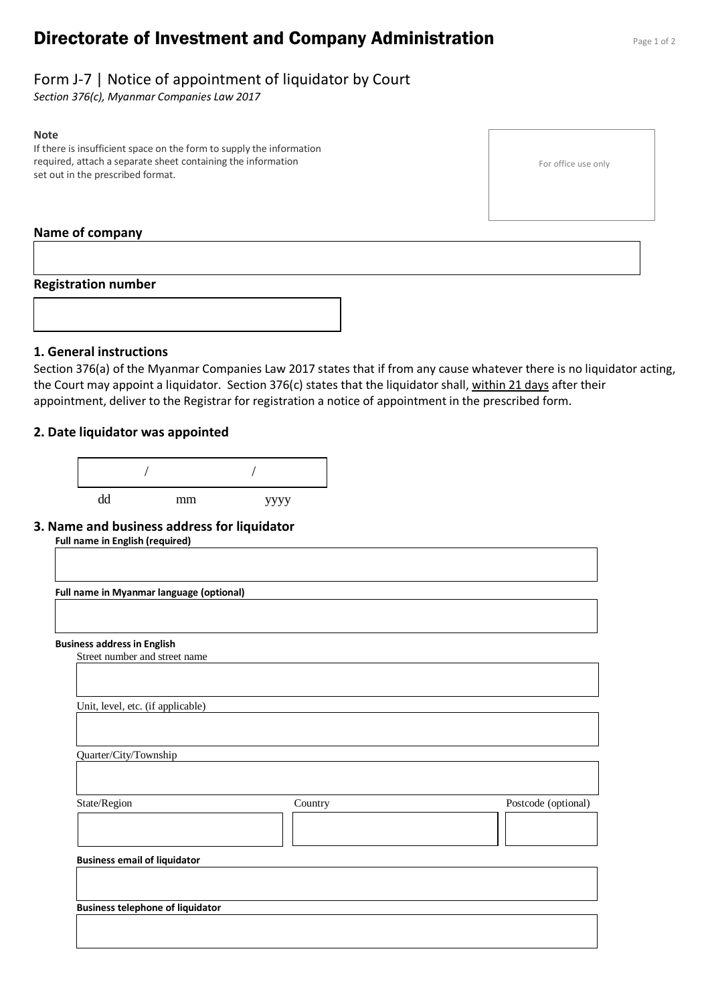# **Directorate of Investment and Company Administration** Page 1 of 2

# Form J-7 | Notice of appointment of liquidator by Court

*Section 376(c), Myanmar Companies Law 2017*

#### **Note**

If there is insufficient space on the form to supply the information required, attach a separate sheet containing the information set out in the prescribed format.

For office use only

#### **Name of company**

#### **Registration number**



## **1. General instructions**

Section 376(a) of the Myanmar Companies Law 2017 states that if from any cause whatever there is no liquidator acting, the Court may appoint a liquidator. Section 376(c) states that the liquidator shall, within 21 days after their appointment, deliver to the Registrar for registration a notice of appointment in the prescribed form.

#### **2. Date liquidator was appointed**



#### **3. Name and business address for liquidator**

**Full name in English (required)**

**Full name in Myanmar language (optional)**

#### **Business address in English**

Street number and street name

| Unit, level, etc. (if applicable)       |         |                     |
|-----------------------------------------|---------|---------------------|
| Quarter/City/Township                   |         |                     |
| State/Region                            | Country | Postcode (optional) |
| <b>Business email of liquidator</b>     |         |                     |
|                                         |         |                     |
| <b>Business telephone of liquidator</b> |         |                     |